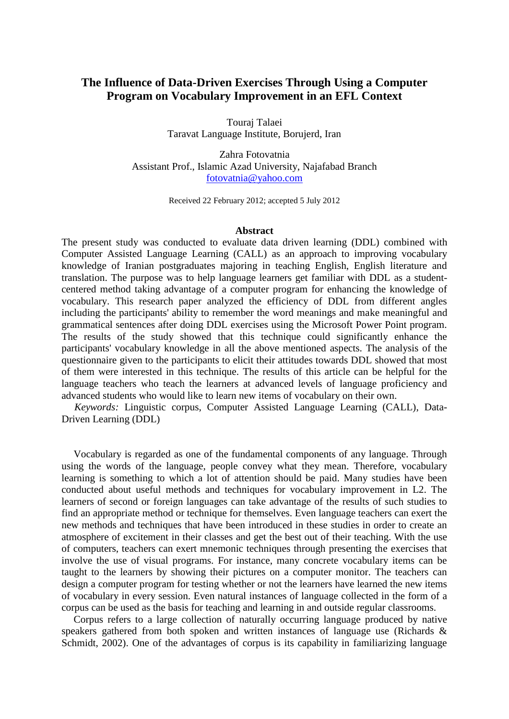# **The Influence of Data-Driven Exercises Through Using a Computer Program on Vocabulary Improvement in an EFL Context**

Touraj Talaei Taravat Language Institute, Borujerd, Iran

Zahra Fotovatnia Assistant Prof., Islamic Azad University, Najafabad Branch [fotovatnia@yahoo.com](mailto:fotovatnia@yahoo.com)

Received 22 February 2012; accepted 5 July 2012

## **Abstract**

The present study was conducted to evaluate data driven learning (DDL) combined with Computer Assisted Language Learning (CALL) as an approach to improving vocabulary knowledge of Iranian postgraduates majoring in teaching English, English literature and translation. The purpose was to help language learners get familiar with DDL as a studentcentered method taking advantage of a computer program for enhancing the knowledge of vocabulary. This research paper analyzed the efficiency of DDL from different angles including the participants' ability to remember the word meanings and make meaningful and grammatical sentences after doing DDL exercises using the Microsoft Power Point program. The results of the study showed that this technique could significantly enhance the participants' vocabulary knowledge in all the above mentioned aspects. The analysis of the questionnaire given to the participants to elicit their attitudes towards DDL showed that most of them were interested in this technique. The results of this article can be helpful for the language teachers who teach the learners at advanced levels of language proficiency and advanced students who would like to learn new items of vocabulary on their own.

 *Keywords:* Linguistic corpus, Computer Assisted Language Learning (CALL), Data-Driven Learning (DDL)

Vocabulary is regarded as one of the fundamental components of any language. Through using the words of the language, people convey what they mean. Therefore, vocabulary learning is something to which a lot of attention should be paid. Many studies have been conducted about useful methods and techniques for vocabulary improvement in L2. The learners of second or foreign languages can take advantage of the results of such studies to find an appropriate method or technique for themselves. Even language teachers can exert the new methods and techniques that have been introduced in these studies in order to create an atmosphere of excitement in their classes and get the best out of their teaching. With the use of computers, teachers can exert mnemonic techniques through presenting the exercises that involve the use of visual programs. For instance, many concrete vocabulary items can be taught to the learners by showing their pictures on a computer monitor. The teachers can design a computer program for testing whether or not the learners have learned the new items of vocabulary in every session. Even natural instances of language collected in the form of a corpus can be used as the basis for teaching and learning in and outside regular classrooms.

Corpus refers to a large collection of naturally occurring language produced by native speakers gathered from both spoken and written instances of language use (Richards & Schmidt, 2002). One of the advantages of corpus is its capability in familiarizing language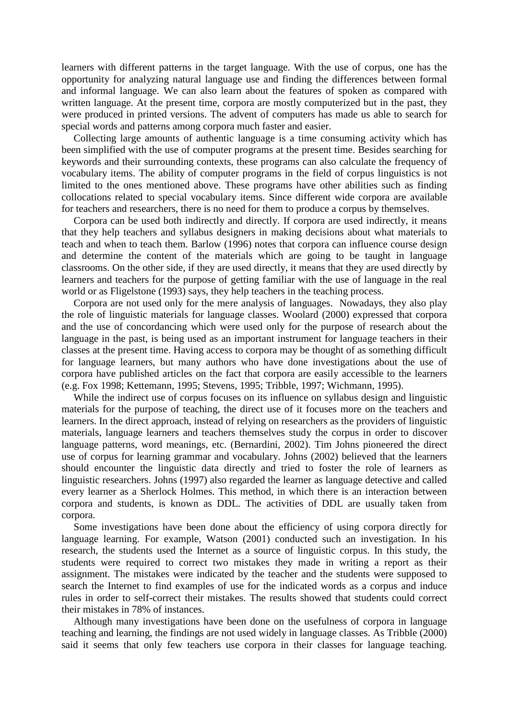learners with different patterns in the target language. With the use of corpus, one has the opportunity for analyzing natural language use and finding the differences between formal and informal language. We can also learn about the features of spoken as compared with written language. At the present time, corpora are mostly computerized but in the past, they were produced in printed versions. The advent of computers has made us able to search for special words and patterns among corpora much faster and easier.

Collecting large amounts of authentic language is a time consuming activity which has been simplified with the use of computer programs at the present time. Besides searching for keywords and their surrounding contexts, these programs can also calculate the frequency of vocabulary items. The ability of computer programs in the field of corpus linguistics is not limited to the ones mentioned above. These programs have other abilities such as finding collocations related to special vocabulary items. Since different wide corpora are available for teachers and researchers, there is no need for them to produce a corpus by themselves.

Corpora can be used both indirectly and directly. If corpora are used indirectly, it means that they help teachers and syllabus designers in making decisions about what materials to teach and when to teach them. Barlow (1996) notes that corpora can influence course design and determine the content of the materials which are going to be taught in language classrooms. On the other side, if they are used directly, it means that they are used directly by learners and teachers for the purpose of getting familiar with the use of language in the real world or as Fligelstone (1993) says, they help teachers in the teaching process.

Corpora are not used only for the mere analysis of languages. Nowadays, they also play the role of linguistic materials for language classes. Woolard (2000) expressed that corpora and the use of concordancing which were used only for the purpose of research about the language in the past, is being used as an important instrument for language teachers in their classes at the present time. Having access to corpora may be thought of as something difficult for language learners, but many authors who have done investigations about the use of corpora have published articles on the fact that corpora are easily accessible to the learners (e.g. Fox 1998; Kettemann, 1995; Stevens, 1995; Tribble, 1997; Wichmann, 1995).

While the indirect use of corpus focuses on its influence on syllabus design and linguistic materials for the purpose of teaching, the direct use of it focuses more on the teachers and learners. In the direct approach, instead of relying on researchers as the providers of linguistic materials, language learners and teachers themselves study the corpus in order to discover language patterns, word meanings, etc. (Bernardini, 2002). Tim Johns pioneered the direct use of corpus for learning grammar and vocabulary. Johns (2002) believed that the learners should encounter the linguistic data directly and tried to foster the role of learners as linguistic researchers. Johns (1997) also regarded the learner as language detective and called every learner as a Sherlock Holmes. This method, in which there is an interaction between corpora and students, is known as DDL. The activities of DDL are usually taken from corpora.

Some investigations have been done about the efficiency of using corpora directly for language learning. For example, Watson (2001) conducted such an investigation. In his research, the students used the Internet as a source of linguistic corpus. In this study, the students were required to correct two mistakes they made in writing a report as their assignment. The mistakes were indicated by the teacher and the students were supposed to search the Internet to find examples of use for the indicated words as a corpus and induce rules in order to self-correct their mistakes. The results showed that students could correct their mistakes in 78% of instances.

Although many investigations have been done on the usefulness of corpora in language teaching and learning, the findings are not used widely in language classes. As Tribble (2000) said it seems that only few teachers use corpora in their classes for language teaching.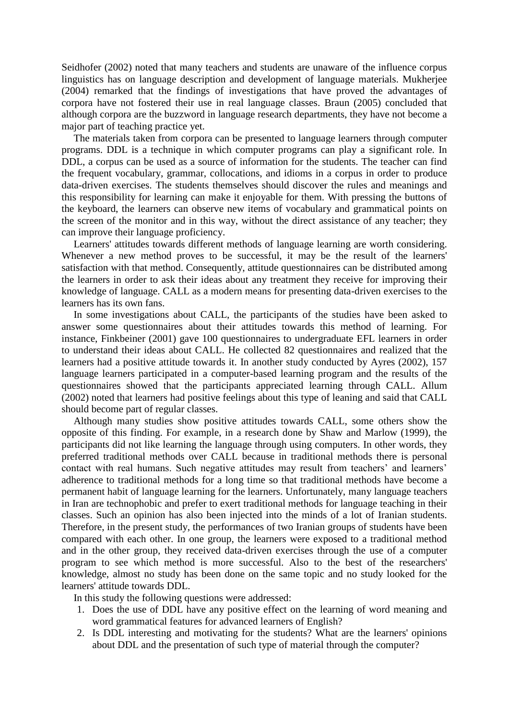Seidhofer (2002) noted that many teachers and students are unaware of the influence corpus linguistics has on language description and development of language materials. Mukherjee (2004) remarked that the findings of investigations that have proved the advantages of corpora have not fostered their use in real language classes. Braun (2005) concluded that although corpora are the buzzword in language research departments, they have not become a major part of teaching practice yet.

The materials taken from corpora can be presented to language learners through computer programs. DDL is a technique in which computer programs can play a significant role. In DDL, a corpus can be used as a source of information for the students. The teacher can find the frequent vocabulary, grammar, collocations, and idioms in a corpus in order to produce data-driven exercises. The students themselves should discover the rules and meanings and this responsibility for learning can make it enjoyable for them. With pressing the buttons of the keyboard, the learners can observe new items of vocabulary and grammatical points on the screen of the monitor and in this way, without the direct assistance of any teacher; they can improve their language proficiency.

Learners' attitudes towards different methods of language learning are worth considering. Whenever a new method proves to be successful, it may be the result of the learners' satisfaction with that method. Consequently, attitude questionnaires can be distributed among the learners in order to ask their ideas about any treatment they receive for improving their knowledge of language. CALL as a modern means for presenting data-driven exercises to the learners has its own fans.

In some investigations about CALL, the participants of the studies have been asked to answer some questionnaires about their attitudes towards this method of learning. For instance, Finkbeiner (2001) gave 100 questionnaires to undergraduate EFL learners in order to understand their ideas about CALL. He collected 82 questionnaires and realized that the learners had a positive attitude towards it. In another study conducted by Ayres (2002), 157 language learners participated in a computer-based learning program and the results of the questionnaires showed that the participants appreciated learning through CALL. Allum (2002) noted that learners had positive feelings about this type of leaning and said that CALL should become part of regular classes.

Although many studies show positive attitudes towards CALL, some others show the opposite of this finding. For example, in a research done by Shaw and Marlow (1999), the participants did not like learning the language through using computers. In other words, they preferred traditional methods over CALL because in traditional methods there is personal contact with real humans. Such negative attitudes may result from teachers' and learners' adherence to traditional methods for a long time so that traditional methods have become a permanent habit of language learning for the learners. Unfortunately, many language teachers in Iran are technophobic and prefer to exert traditional methods for language teaching in their classes. Such an opinion has also been injected into the minds of a lot of Iranian students. Therefore, in the present study, the performances of two Iranian groups of students have been compared with each other. In one group, the learners were exposed to a traditional method and in the other group, they received data-driven exercises through the use of a computer program to see which method is more successful. Also to the best of the researchers' knowledge, almost no study has been done on the same topic and no study looked for the learners' attitude towards DDL.

In this study the following questions were addressed:

- 1. Does the use of DDL have any positive effect on the learning of word meaning and word grammatical features for advanced learners of English?
- 2. Is DDL interesting and motivating for the students? What are the learners' opinions about DDL and the presentation of such type of material through the computer?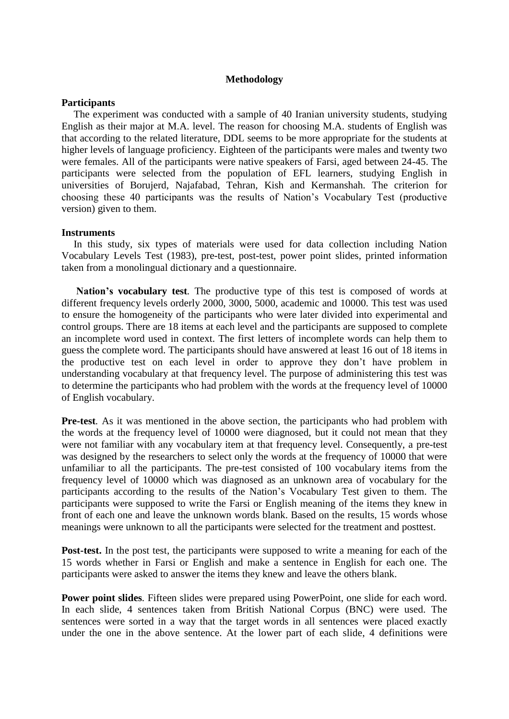# **Methodology**

# **Participants**

The experiment was conducted with a sample of 40 Iranian university students, studying English as their major at M.A. level. The reason for choosing M.A. students of English was that according to the related literature, DDL seems to be more appropriate for the students at higher levels of language proficiency. Eighteen of the participants were males and twenty two were females. All of the participants were native speakers of Farsi, aged between 24-45. The participants were selected from the population of EFL learners, studying English in universities of Borujerd, Najafabad, Tehran, Kish and Kermanshah. The criterion for choosing these 40 participants was the results of Nation's Vocabulary Test (productive version) given to them.

## **Instruments**

In this study, six types of materials were used for data collection including Nation Vocabulary Levels Test (1983), pre-test, post-test, power point slides, printed information taken from a monolingual dictionary and a questionnaire.

**Nation's vocabulary test***.* The productive type of this test is composed of words at different frequency levels orderly 2000, 3000, 5000, academic and 10000. This test was used to ensure the homogeneity of the participants who were later divided into experimental and control groups. There are 18 items at each level and the participants are supposed to complete an incomplete word used in context. The first letters of incomplete words can help them to guess the complete word. The participants should have answered at least 16 out of 18 items in the productive test on each level in order to approve they don't have problem in understanding vocabulary at that frequency level. The purpose of administering this test was to determine the participants who had problem with the words at the frequency level of 10000 of English vocabulary.

**Pre-test***.* As it was mentioned in the above section, the participants who had problem with the words at the frequency level of 10000 were diagnosed, but it could not mean that they were not familiar with any vocabulary item at that frequency level. Consequently, a pre-test was designed by the researchers to select only the words at the frequency of 10000 that were unfamiliar to all the participants. The pre-test consisted of 100 vocabulary items from the frequency level of 10000 which was diagnosed as an unknown area of vocabulary for the participants according to the results of the Nation's Vocabulary Test given to them. The participants were supposed to write the Farsi or English meaning of the items they knew in front of each one and leave the unknown words blank. Based on the results, 15 words whose meanings were unknown to all the participants were selected for the treatment and posttest.

**Post-test.** In the post test, the participants were supposed to write a meaning for each of the 15 words whether in Farsi or English and make a sentence in English for each one. The participants were asked to answer the items they knew and leave the others blank.

**Power point slides***.* Fifteen slides were prepared using PowerPoint, one slide for each word. In each slide, 4 sentences taken from British National Corpus (BNC) were used. The sentences were sorted in a way that the target words in all sentences were placed exactly under the one in the above sentence. At the lower part of each slide, 4 definitions were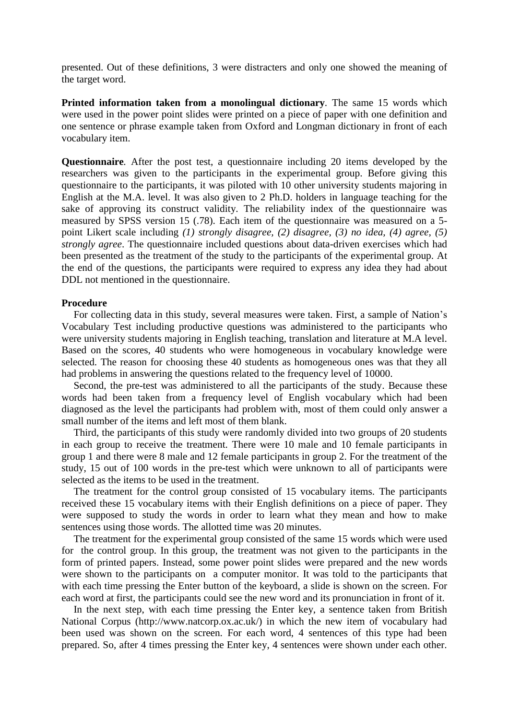presented. Out of these definitions, 3 were distracters and only one showed the meaning of the target word.

**Printed information taken from a monolingual dictionary***.* The same 15 words which were used in the power point slides were printed on a piece of paper with one definition and one sentence or phrase example taken from Oxford and Longman dictionary in front of each vocabulary item.

**Questionnaire***.* After the post test, a questionnaire including 20 items developed by the researchers was given to the participants in the experimental group. Before giving this questionnaire to the participants, it was piloted with 10 other university students majoring in English at the M.A. level. It was also given to 2 Ph.D. holders in language teaching for the sake of approving its construct validity. The reliability index of the questionnaire was measured by SPSS version 15 (.78). Each item of the questionnaire was measured on a 5 point Likert scale including *(1) strongly disagree, (2) disagree, (3) no idea, (4) agree, (5) strongly agree*. The questionnaire included questions about data-driven exercises which had been presented as the treatment of the study to the participants of the experimental group. At the end of the questions, the participants were required to express any idea they had about DDL not mentioned in the questionnaire.

# **Procedure**

For collecting data in this study, several measures were taken. First, a sample of Nation's Vocabulary Test including productive questions was administered to the participants who were university students majoring in English teaching, translation and literature at M.A level. Based on the scores, 40 students who were homogeneous in vocabulary knowledge were selected. The reason for choosing these 40 students as homogeneous ones was that they all had problems in answering the questions related to the frequency level of 10000.

Second, the pre-test was administered to all the participants of the study. Because these words had been taken from a frequency level of English vocabulary which had been diagnosed as the level the participants had problem with, most of them could only answer a small number of the items and left most of them blank.

Third, the participants of this study were randomly divided into two groups of 20 students in each group to receive the treatment. There were 10 male and 10 female participants in group 1 and there were 8 male and 12 female participants in group 2. For the treatment of the study, 15 out of 100 words in the pre-test which were unknown to all of participants were selected as the items to be used in the treatment.

The treatment for the control group consisted of 15 vocabulary items. The participants received these 15 vocabulary items with their English definitions on a piece of paper. They were supposed to study the words in order to learn what they mean and how to make sentences using those words. The allotted time was 20 minutes.

The treatment for the experimental group consisted of the same 15 words which were used for the control group. In this group, the treatment was not given to the participants in the form of printed papers. Instead, some power point slides were prepared and the new words were shown to the participants on a computer monitor. It was told to the participants that with each time pressing the Enter button of the keyboard, a slide is shown on the screen. For each word at first, the participants could see the new word and its pronunciation in front of it.

In the next step, with each time pressing the Enter key, a sentence taken from British National Corpus (http://www.natcorp.ox.ac.uk/) in which the new item of vocabulary had been used was shown on the screen. For each word, 4 sentences of this type had been prepared. So, after 4 times pressing the Enter key, 4 sentences were shown under each other.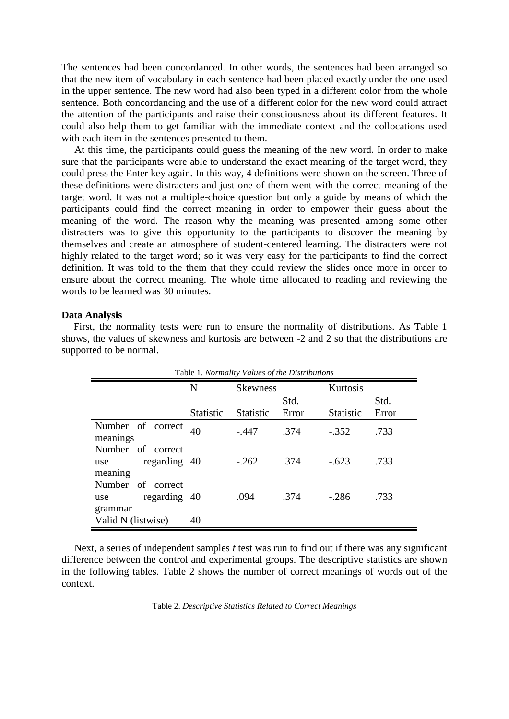The sentences had been concordanced. In other words, the sentences had been arranged so that the new item of vocabulary in each sentence had been placed exactly under the one used in the upper sentence. The new word had also been typed in a different color from the whole sentence. Both concordancing and the use of a different color for the new word could attract the attention of the participants and raise their consciousness about its different features. It could also help them to get familiar with the immediate context and the collocations used with each item in the sentences presented to them.

 At this time, the participants could guess the meaning of the new word. In order to make sure that the participants were able to understand the exact meaning of the target word, they could press the Enter key again. In this way, 4 definitions were shown on the screen. Three of these definitions were distracters and just one of them went with the correct meaning of the target word. It was not a multiple-choice question but only a guide by means of which the participants could find the correct meaning in order to empower their guess about the meaning of the word. The reason why the meaning was presented among some other distracters was to give this opportunity to the participants to discover the meaning by themselves and create an atmosphere of student-centered learning. The distracters were not highly related to the target word; so it was very easy for the participants to find the correct definition. It was told to the them that they could review the slides once more in order to ensure about the correct meaning. The whole time allocated to reading and reviewing the words to be learned was 30 minutes.

## **Data Analysis**

First, the normality tests were run to ensure the normality of distributions. As Table 1 shows, the values of skewness and kurtosis are between -2 and 2 so that the distributions are supported to be normal.

| Table 1. Normality Values of the Distributions      |                  |                  |               |                  |               |
|-----------------------------------------------------|------------------|------------------|---------------|------------------|---------------|
|                                                     | N                | <b>Skewness</b>  |               | Kurtosis         |               |
|                                                     | <b>Statistic</b> | <b>Statistic</b> | Std.<br>Error | <b>Statistic</b> | Std.<br>Error |
| Number of correct<br>meanings                       | 40               | $-.447$          | .374          | $-352$           | .733          |
| Number of correct<br>regarding 40<br>use<br>meaning |                  | $-.262$          | .374          | $-623$           | .733          |
| Number of correct<br>regarding 40<br>use<br>grammar |                  | .094             | .374          | $-286$           | .733          |
| Valid N (listwise)                                  | 40               |                  |               |                  |               |

 Next, a series of independent samples *t* test was run to find out if there was any significant difference between the control and experimental groups. The descriptive statistics are shown in the following tables. Table 2 shows the number of correct meanings of words out of the context.

#### Table 2. *Descriptive Statistics Related to Correct Meanings*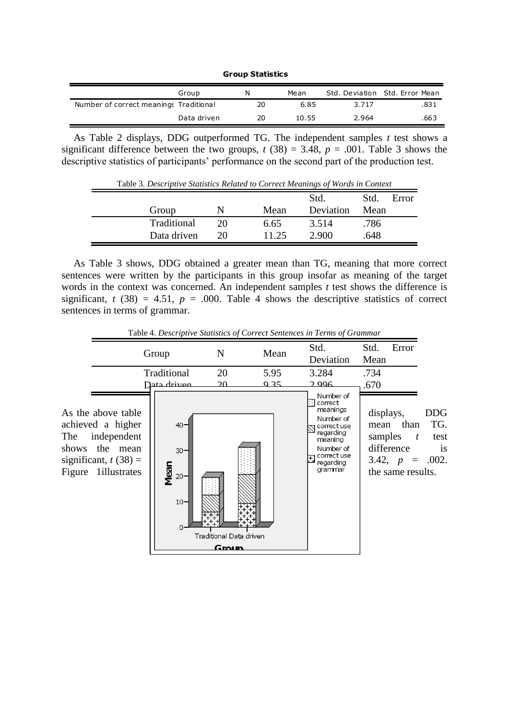**Group Statistics**

|                                        | Group       | N  | Mean  |       | Std. Deviation Std. Error Mean |
|----------------------------------------|-------------|----|-------|-------|--------------------------------|
| Number of correct meanings Traditional |             | 20 | 6.85  | 3.717 | .831                           |
|                                        | Data driven | 20 | 10.55 | 2.964 | .663                           |

As Table 2 displays, DDG outperformed TG. The independent samples *t* test shows a significant difference between the two groups,  $t(38) = 3.48$ ,  $p = .001$ . Table 3 shows the descriptive statistics of participants' performance on the second part of the production test.

| Table 3. Descriptive Statistics Related to Correct Meanings of Words in Context |             |    |       |           |      |       |
|---------------------------------------------------------------------------------|-------------|----|-------|-----------|------|-------|
|                                                                                 |             |    |       | Std.      | Std. | Error |
|                                                                                 | Group       | N  | Mean  | Deviation | Mean |       |
|                                                                                 | Traditional | 20 | 6.65  | 3.514     | .786 |       |
|                                                                                 | Data driven | 20 | 11.25 | 2.900     | .648 |       |

As Table 3 shows, DDG obtained a greater mean than TG, meaning that more correct sentences were written by the participants in this group insofar as meaning of the target words in the context was concerned. An independent samples *t* test shows the difference is significant,  $t$  (38) = 4.51,  $p = .000$ . Table 4 shows the descriptive statistics of correct sentences in terms of grammar.



Table 4. *Descriptive Statistics of Correct Sentences in Terms of Grammar*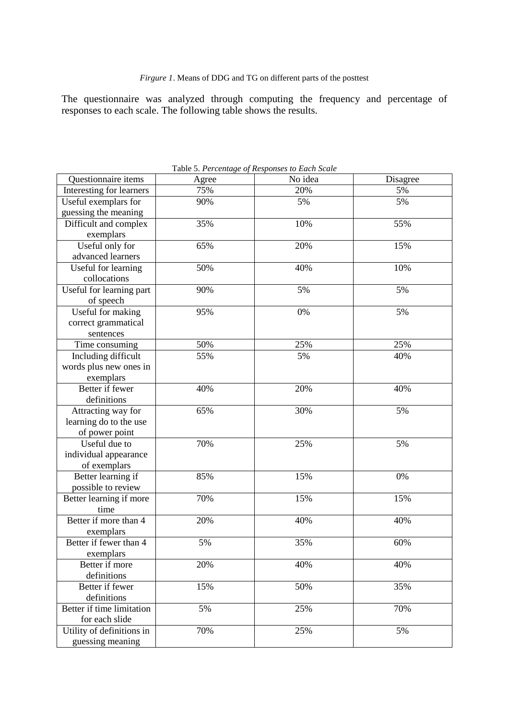The questionnaire was analyzed through computing the frequency and percentage of responses to each scale. The following table shows the results.

|                           |       | <b>Table 5. Percentage of Responses to Each Scale</b> |          |
|---------------------------|-------|-------------------------------------------------------|----------|
| Questionnaire items       | Agree | No idea                                               | Disagree |
| Interesting for learners  | 75%   | 20%                                                   | 5%       |
| Useful exemplars for      | 90%   | 5%                                                    | 5%       |
| guessing the meaning      |       |                                                       |          |
| Difficult and complex     | 35%   | 10%                                                   | 55%      |
| exemplars                 |       |                                                       |          |
| Useful only for           | 65%   | 20%                                                   | 15%      |
| advanced learners         |       |                                                       |          |
| Useful for learning       | 50%   | 40%                                                   | 10%      |
| collocations              |       |                                                       |          |
| Useful for learning part  | 90%   | 5%                                                    | 5%       |
| of speech                 |       |                                                       |          |
| Useful for making         | 95%   | 0%                                                    | 5%       |
| correct grammatical       |       |                                                       |          |
| sentences                 |       |                                                       |          |
| Time consuming            | 50%   | 25%                                                   | 25%      |
| Including difficult       | 55%   | 5%                                                    | 40%      |
| words plus new ones in    |       |                                                       |          |
| exemplars                 |       |                                                       |          |
| Better if fewer           | 40%   | 20%                                                   | 40%      |
| definitions               |       |                                                       |          |
| Attracting way for        | 65%   | 30%                                                   | 5%       |
| learning do to the use    |       |                                                       |          |
| of power point            |       |                                                       |          |
| Useful due to             | 70%   | 25%                                                   | 5%       |
| individual appearance     |       |                                                       |          |
| of exemplars              |       |                                                       |          |
| Better learning if        | 85%   | 15%                                                   | 0%       |
| possible to review        |       |                                                       |          |
| Better learning if more   | 70%   | 15%                                                   | 15%      |
| time                      |       |                                                       |          |
| Better if more than 4     | 20%   | 40%                                                   | 40%      |
| exemplars                 |       |                                                       |          |
| Better if fewer than 4    | 5%    | 35%                                                   | 60%      |
| exemplars                 |       |                                                       |          |
| Better if more            | 20%   | 40%                                                   | 40%      |
| definitions               |       |                                                       |          |
| Better if fewer           | 15%   | 50%                                                   | 35%      |
| definitions               |       |                                                       |          |
| Better if time limitation | 5%    | 25%                                                   | 70%      |
| for each slide            |       |                                                       |          |
| Utility of definitions in | 70%   | 25%                                                   | 5%       |
| guessing meaning          |       |                                                       |          |

Table 5. *Percentage of Responses to Each Scale*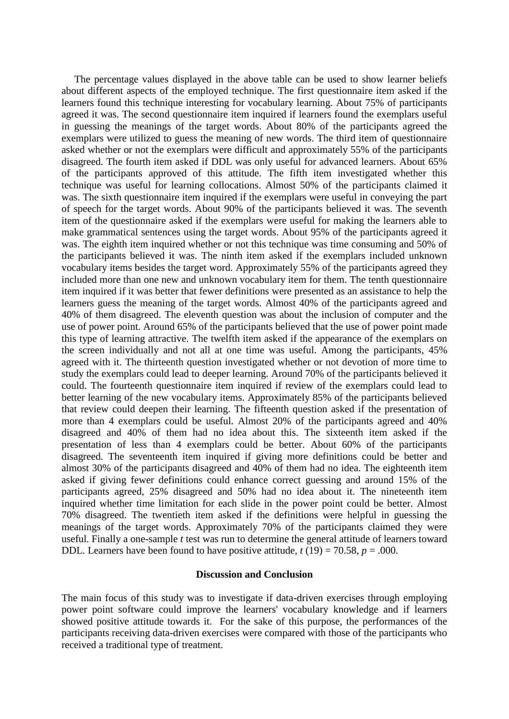The percentage values displayed in the above table can be used to show learner beliefs about different aspects of the employed technique. The first questionnaire item asked if the learners found this technique interesting for vocabulary learning. About 75% of participants agreed it was. The second questionnaire item inquired if learners found the exemplars useful in guessing the meanings of the target words. About 80% of the participants agreed the exemplars were utilized to guess the meaning of new words. The third item of questionnaire asked whether or not the exemplars were difficult and approximately 55% of the participants disagreed. The fourth item asked if DDL was only useful for advanced learners. About 65% of the participants approved of this attitude. The fifth item investigated whether this technique was useful for learning collocations. Almost 50% of the participants claimed it was. The sixth questionnaire item inquired if the exemplars were useful in conveying the part of speech for the target words. About 90% of the participants believed it was. The seventh item of the questionnaire asked if the exemplars were useful for making the learners able to make grammatical sentences using the target words. About 95% of the participants agreed it was. The eighth item inquired whether or not this technique was time consuming and 50% of the participants believed it was. The ninth item asked if the exemplars included unknown vocabulary items besides the target word. Approximately 55% of the participants agreed they included more than one new and unknown vocabulary item for them. The tenth questionnaire item inquired if it was better that fewer definitions were presented as an assistance to help the learners guess the meaning of the target words. Almost 40% of the participants agreed and 40% of them disagreed. The eleventh question was about the inclusion of computer and the use of power point. Around 65% of the participants believed that the use of power point made this type of learning attractive. The twelfth item asked if the appearance of the exemplars on the screen individually and not all at one time was useful. Among the participants, 45% agreed with it. The thirteenth question investigated whether or not devotion of more time to study the exemplars could lead to deeper learning. Around 70% of the participants believed it could. The fourteenth questionnaire item inquired if review of the exemplars could lead to better learning of the new vocabulary items. Approximately 85% of the participants believed that review could deepen their learning. The fifteenth question asked if the presentation of more than 4 exemplars could be useful. Almost 20% of the participants agreed and 40% disagreed and 40% of them had no idea about this. The sixteenth item asked if the presentation of less than 4 exemplars could be better. About 60% of the participants disagreed. The seventeenth item inquired if giving more definitions could be better and almost 30% of the participants disagreed and 40% of them had no idea. The eighteenth item asked if giving fewer definitions could enhance correct guessing and around 15% of the participants agreed, 25% disagreed and 50% had no idea about it. The nineteenth item inquired whether time limitation for each slide in the power point could be better. Almost 70% disagreed. The twentieth item asked if the definitions were helpful in guessing the meanings of the target words. Approximately 70% of the participants claimed they were useful. Finally a one-sample *t* test was run to determine the general attitude of learners toward DDL. Learners have been found to have positive attitude,  $t(19) = 70.58$ ,  $p = .000$ .

# **Discussion and Conclusion**

The main focus of this study was to investigate if data-driven exercises through employing power point software could improve the learners' vocabulary knowledge and if learners showed positive attitude towards it. For the sake of this purpose, the performances of the participants receiving data-driven exercises were compared with those of the participants who received a traditional type of treatment.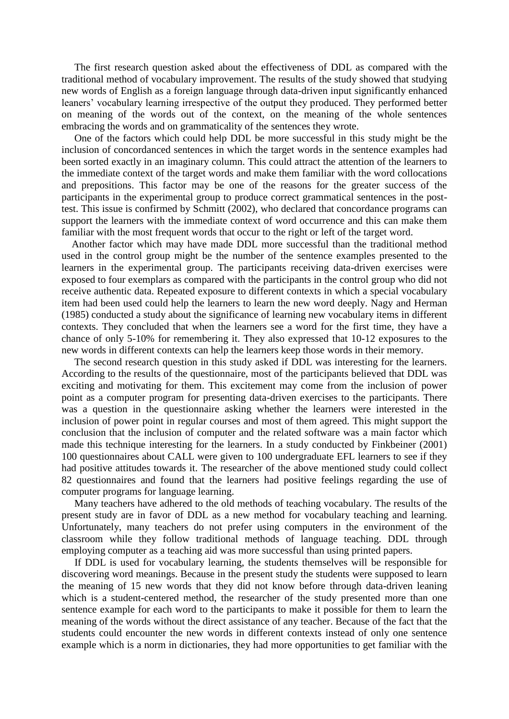The first research question asked about the effectiveness of DDL as compared with the traditional method of vocabulary improvement. The results of the study showed that studying new words of English as a foreign language through data-driven input significantly enhanced leaners' vocabulary learning irrespective of the output they produced. They performed better on meaning of the words out of the context, on the meaning of the whole sentences embracing the words and on grammaticality of the sentences they wrote.

 One of the factors which could help DDL be more successful in this study might be the inclusion of concordanced sentences in which the target words in the sentence examples had been sorted exactly in an imaginary column. This could attract the attention of the learners to the immediate context of the target words and make them familiar with the word collocations and prepositions. This factor may be one of the reasons for the greater success of the participants in the experimental group to produce correct grammatical sentences in the posttest. This issue is confirmed by Schmitt (2002), who declared that concordance programs can support the learners with the immediate context of word occurrence and this can make them familiar with the most frequent words that occur to the right or left of the target word.

 Another factor which may have made DDL more successful than the traditional method used in the control group might be the number of the sentence examples presented to the learners in the experimental group. The participants receiving data-driven exercises were exposed to four exemplars as compared with the participants in the control group who did not receive authentic data. Repeated exposure to different contexts in which a special vocabulary item had been used could help the learners to learn the new word deeply. Nagy and Herman (1985) conducted a study about the significance of learning new vocabulary items in different contexts. They concluded that when the learners see a word for the first time, they have a chance of only 5-10% for remembering it. They also expressed that 10-12 exposures to the new words in different contexts can help the learners keep those words in their memory.

 The second research question in this study asked if DDL was interesting for the learners. According to the results of the questionnaire, most of the participants believed that DDL was exciting and motivating for them. This excitement may come from the inclusion of power point as a computer program for presenting data-driven exercises to the participants. There was a question in the questionnaire asking whether the learners were interested in the inclusion of power point in regular courses and most of them agreed. This might support the conclusion that the inclusion of computer and the related software was a main factor which made this technique interesting for the learners. In a study conducted by Finkbeiner (2001) 100 questionnaires about CALL were given to 100 undergraduate EFL learners to see if they had positive attitudes towards it. The researcher of the above mentioned study could collect 82 questionnaires and found that the learners had positive feelings regarding the use of computer programs for language learning.

 Many teachers have adhered to the old methods of teaching vocabulary. The results of the present study are in favor of DDL as a new method for vocabulary teaching and learning. Unfortunately, many teachers do not prefer using computers in the environment of the classroom while they follow traditional methods of language teaching. DDL through employing computer as a teaching aid was more successful than using printed papers.

 If DDL is used for vocabulary learning, the students themselves will be responsible for discovering word meanings. Because in the present study the students were supposed to learn the meaning of 15 new words that they did not know before through data-driven leaning which is a student-centered method, the researcher of the study presented more than one sentence example for each word to the participants to make it possible for them to learn the meaning of the words without the direct assistance of any teacher. Because of the fact that the students could encounter the new words in different contexts instead of only one sentence example which is a norm in dictionaries, they had more opportunities to get familiar with the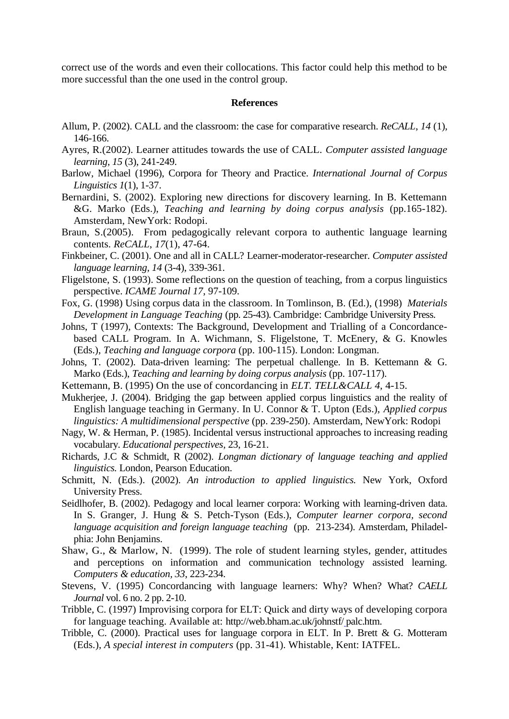correct use of the words and even their collocations. This factor could help this method to be more successful than the one used in the control group.

#### **References**

- Allum, P. (2002). CALL and the classroom: the case for comparative research. *ReCALL*, *14* (1), 146-166.
- Ayres, R.(2002). Learner attitudes towards the use of CALL. *Computer assisted language learning*, *15* (3), 241-249.
- Barlow, Michael (1996), Corpora for Theory and Practice. *International Journal of Corpus Linguistics 1*(1), 1-37.
- Bernardini, S. (2002). Exploring new directions for discovery learning. In B. Kettemann &G. Marko (Eds.), *Teaching and learning by doing corpus analysis* (pp.165-182). Amsterdam, NewYork: Rodopi.
- Braun, S.(2005). From pedagogically relevant corpora to authentic language learning contents. *ReCALL*, *17*(1), 47-64.
- Finkbeiner, C. (2001). One and all in CALL? Learner-moderator-researcher. *Computer assisted language learning*, *14* (3-4), 339-361.
- Fligelstone, S. (1993). Some reflections on the question of teaching, from a corpus linguistics perspective. *ICAME Journal 17*, 97-109.
- Fox, G. (1998) Using corpus data in the classroom. In Tomlinson, B. (Ed.), (1998) *Materials Development in Language Teaching* (pp. 25-43). Cambridge: Cambridge University Press.
- Johns, T (1997), Contexts: The Background, Development and Trialling of a Concordancebased CALL Program. In A. Wichmann, S. Fligelstone, T. McEnery, & G. Knowles (Eds.), *Teaching and language corpora* (pp. 100-115). London: Longman.
- Johns, T. (2002). Data-driven learning: The perpetual challenge. In B. Kettemann & G. Marko (Eds.), *Teaching and learning by doing corpus analysis* (pp. 107-117).
- Kettemann, B. (1995) On the use of concordancing in *ELT. TELL&CALL 4,* 4-15.
- Mukherjee, J. (2004). Bridging the gap between applied corpus linguistics and the reality of English language teaching in Germany. In U. Connor & T. Upton (Eds.), *Applied corpus linguistics: A multidimensional perspective* (pp. 239-250). Amsterdam, NewYork: Rodopi
- Nagy, W. & Herman, P. (1985). Incidental versus instructional approaches to increasing reading vocabulary. *Educational perspectives,* 23, 16-21.
- Richards, J.C & Schmidt, R (2002). *Longman dictionary of language teaching and applied linguistics.* London, Pearson Education.
- Schmitt, N. (Eds.). (2002). *An introduction to applied linguistics.* New York, Oxford University Press.
- Seidlhofer, B. (2002). Pedagogy and local learner corpora: Working with learning-driven data. In S. Granger, J. Hung & S. Petch-Tyson (Eds.), *Computer learner corpora, second language acquisition and foreign language teaching* (pp. 213-234). Amsterdam, Philadelphia: John Benjamins.
- Shaw, G., & Marlow, N. (1999). The role of student learning styles, gender, attitudes and perceptions on information and communication technology assisted learning. *Computers & education, 33*, 223-234.
- Stevens, V. (1995) Concordancing with language learners: Why? When? What? *CAELL Journal* vol. 6 no. 2 pp. 2-10.
- Tribble, C. (1997) Improvising corpora for ELT: Quick and dirty ways of developing corpora for language teaching. Available at: http://web.bham.ac.uk/johnstf/ palc.htm.
- Tribble, C. (2000). Practical uses for language corpora in ELT. In P. Brett & G. Motteram (Eds.), *A special interest in computers* (pp. 31-41). Whistable, Kent: IATFEL.